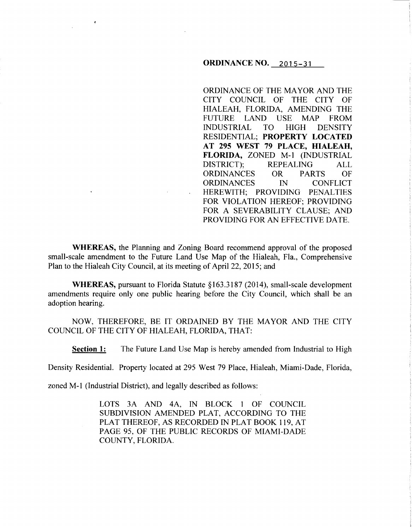### **ORDINANCE NO. 2015-31**

ORDINANCE OF THE MAYOR AND THE CITY COUNCIL OF THE CITY OF HIALEAH, FLORIDA, AMENDING THE FUTURE LAND USE MAP FROM INDUSTRIAL TO HIGH DENSITY RESIDENTIAL; **PROPERTY LOCATED AT 295 WEST 79 PLACE, HIALEAH, FLORIDA,** ZONED M-1 (INDUSTRIAL DISTRICT); REPEALING ALL ORDINANCES OR PARTS OF ORDINANCES IN CONFLICT HEREWITH; PROVIDING PENALTIES FOR VIOLATION HEREOF; PROVIDING FOR A SEVERABILITY CLAUSE; AND PROVIDING FOR AN EFFECTIVE DATE.

**WHEREAS,** the Planning and Zoning Board recommend approval of the proposed small-scale amendment to the Future Land Use Map of the Hialeah, Fla., Comprehensive Plan to the Hialeah City Council, at its meeting of April 22, 2015; and

**WHEREAS, pursuant to Florida Statute §163.3187 (2014), small-scale development** amendments require only one public hearing before the City Council, which shall be an adoption hearing.

NOW, THEREFORE, BE IT ORDAINED BY THE MAYOR AND THE CITY COUNCIL OF THE CITY OF HIALEAH, FLORIDA, THAT:

**Section 1:** The Future Land Use Map is hereby amended from Industrial to High

Density Residential. Property located at 295 West 79 Place, Hialeah, Miami-Dade, Florida,

zoned M-1 (Industrial District), and legally described as follows:

LOTS 3A AND 4A, IN BLOCK I OF COUNCIL SUBDIVISION AMENDED PLAT, ACCORDING TO THE PLAT THEREOF, AS RECORDED IN PLAT BOOK 119, AT PAGE 95, OF THE PUBLIC RECORDS OF MIAMI-DADE COUNTY, FLORIDA.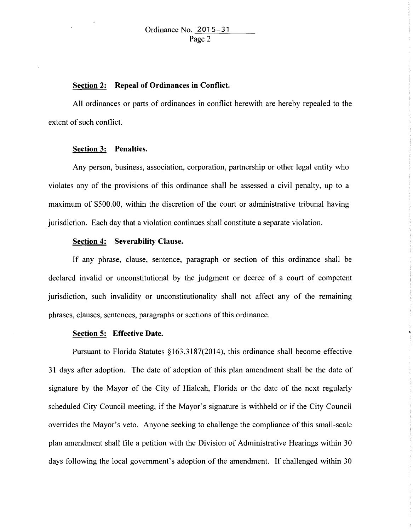#### **Section 2: Repeal of Ordinances in Conflict.**

All ordinances or parts of ordinances in conflict herewith are hereby repealed to the extent of such conflict.

### **Section 3: Penalties.**

Any person, business, association, corporation, partnership or other legal entity who violates any of the provisions of this ordinance shall be assessed a civil penalty, up to a maximum of \$500.00, within the discretion of the court or administrative tribunal having jurisdiction. Each day that a violation continues shall constitute a separate violation.

# **Section 4: Severability Clause.**

If any phrase, clause, sentence, paragraph or section of this ordinance shall be declared invalid or unconstitutional by the judgment or decree of a court of competent jurisdiction, such invalidity or unconstitutionality shall not affect any of the remaining phrases, clauses, sentences, paragraphs or sections of this ordinance.

# **Section 5: Effective Date.**

Pursuant to Florida Statutes §163.3187(2014), this ordinance shall become effective 31 days after adoption. The date of adoption of this plan amendment shall be the date of signature by the Mayor of the City of Hialeah, Florida or the date of the next regularly scheduled City Council meeting, if the Mayor's signature is withheld or if the City Council overrides the Mayor's veto. Anyone seeking to challenge the compliance of this small-scale plan amendment shall file a petition with the Division of Administrative Hearings within 30 days following the local government's adoption of the amendment. If challenged within 30